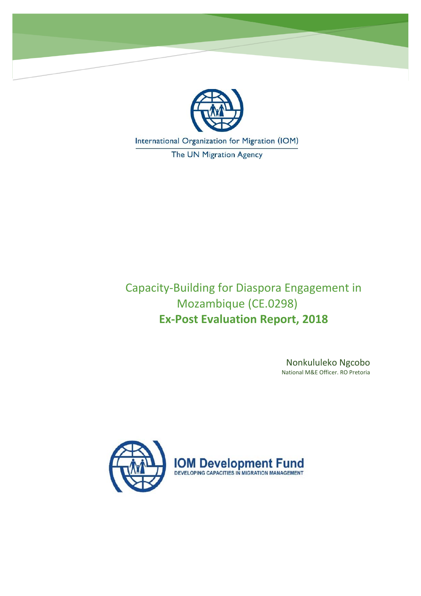

International Organization for Migration (IOM)

The UN Migration Agency

Capacity-Building for Diaspora Engagement in Mozambique (CE.0298) **Ex-Post Evaluation Report, 2018**

> Nonkululeko Ngcobo National M&E Officer. RO Pretoria

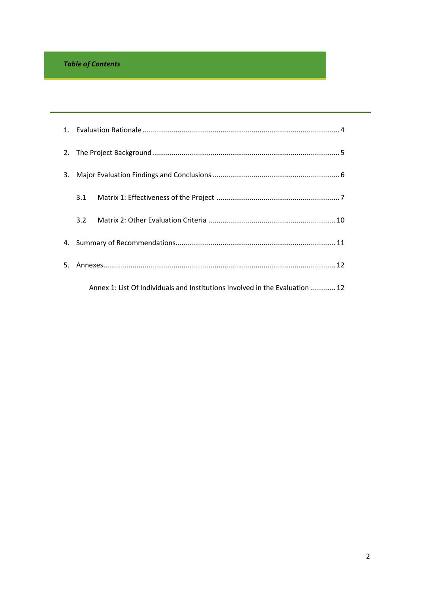# *Table of Contents*

| 2.  |     |                                                                              |  |
|-----|-----|------------------------------------------------------------------------------|--|
| 3.  |     |                                                                              |  |
|     |     |                                                                              |  |
|     | 3.2 |                                                                              |  |
| 4.  |     |                                                                              |  |
| .5. |     |                                                                              |  |
|     |     | Annex 1: List Of Individuals and Institutions Involved in the Evaluation  12 |  |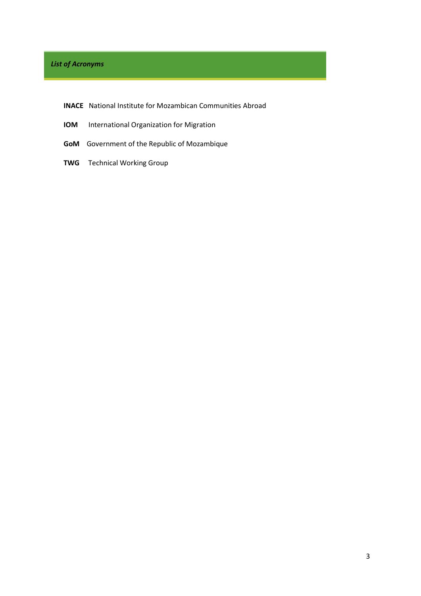# *List of Acronyms*

- **INACE** National Institute for Mozambican Communities Abroad
- **IOM** International Organization for Migration
- **GoM** Government of the Republic of Mozambique
- **TWG** Technical Working Group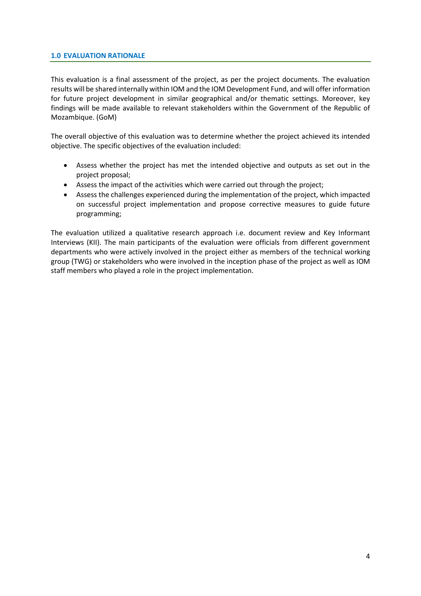#### <span id="page-3-0"></span>**1.0 EVALUATION RATIONALE**

This evaluation is a final assessment of the project, as per the project documents. The evaluation results will be shared internally within IOM and the IOM Development Fund, and will offer information for future project development in similar geographical and/or thematic settings. Moreover, key findings will be made available to relevant stakeholders within the Government of the Republic of Mozambique. (GoM)

The overall objective of this evaluation was to determine whether the project achieved its intended objective. The specific objectives of the evaluation included:

- Assess whether the project has met the intended objective and outputs as set out in the project proposal;
- Assess the impact of the activities which were carried out through the project;
- Assess the challenges experienced during the implementation of the project, which impacted on successful project implementation and propose corrective measures to guide future programming;

The evaluation utilized a qualitative research approach i.e. document review and Key Informant Interviews (KII). The main participants of the evaluation were officials from different government departments who were actively involved in the project either as members of the technical working group (TWG) or stakeholders who were involved in the inception phase of the project as well as IOM staff members who played a role in the project implementation.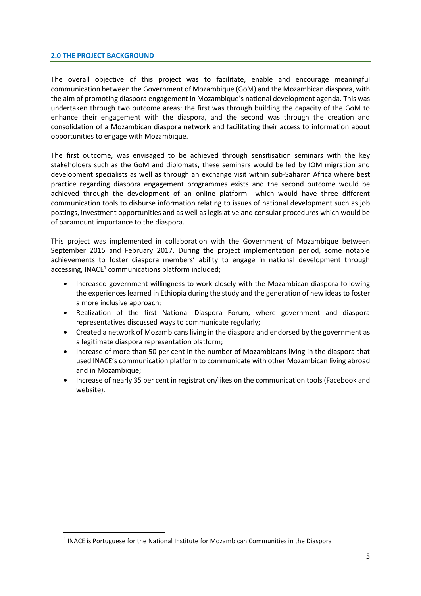#### <span id="page-4-0"></span>**2.0 THE PROJECT BACKGROUND**

<span id="page-4-1"></span>1

The overall objective of this project was to facilitate, enable and encourage meaningful communication between the Government of Mozambique (GoM) and the Mozambican diaspora, with the aim of promoting diaspora engagement in Mozambique's national development agenda. This was undertaken through two outcome areas: the first was through building the capacity of the GoM to enhance their engagement with the diaspora, and the second was through the creation and consolidation of a Mozambican diaspora network and facilitating their access to information about opportunities to engage with Mozambique.

The first outcome, was envisaged to be achieved through sensitisation seminars with the key stakeholders such as the GoM and diplomats, these seminars would be led by IOM migration and development specialists as well as through an exchange visit within sub-Saharan Africa where best practice regarding diaspora engagement programmes exists and the second outcome would be achieved through the development of an online platform which would have three different communication tools to disburse information relating to issues of national development such as job postings, investment opportunities and as well as legislative and consular procedures which would be of paramount importance to the diaspora.

This project was implemented in collaboration with the Government of Mozambique between September 2015 and February 2017. During the project implementation period, some notable achievements to foster diaspora members' ability to engage in national development through accessing, INACE<sup>1</sup> communications platform included;

- Increased government willingness to work closely with the Mozambican diaspora following the experiences learned in Ethiopia during the study and the generation of new ideas to foster a more inclusive approach;
- Realization of the first National Diaspora Forum, where government and diaspora representatives discussed ways to communicate regularly;
- Created a network of Mozambicans living in the diaspora and endorsed by the government as a legitimate diaspora representation platform;
- Increase of more than 50 per cent in the number of Mozambicans living in the diaspora that used INACE's communication platform to communicate with other Mozambican living abroad and in Mozambique;
- Increase of nearly 35 per cent in registration/likes on the communication tools (Facebook and website).

<sup>&</sup>lt;sup>1</sup> INACE is Portuguese for the National Institute for Mozambican Communities in the Diaspora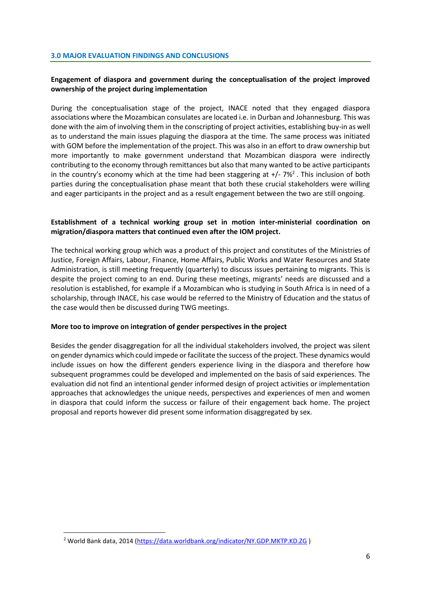### **Engagement of diaspora and government during the conceptualisation of the project improved ownership of the project during implementation**

During the conceptualisation stage of the project, INACE noted that they engaged diaspora associations where the Mozambican consulates are located i.e. in Durban and Johannesburg. This was done with the aim of involving them in the conscripting of project activities, establishing buy-in as well as to understand the main issues plaguing the diaspora at the time. The same process was initiated with GOM before the implementation of the project. This was also in an effort to draw ownership but more importantly to make government understand that Mozambican diaspora were indirectly contributing to the economy through remittances but also that many wanted to be active participants in the country's economy which at the time had been staggering at  $+/- 7\%$ <sup>2</sup>. This inclusion of both parties during the conceptualisation phase meant that both these crucial stakeholders were willing and eager participants in the project and as a result engagement between the two are still ongoing.

#### **Establishment of a technical working group set in motion inter-ministerial coordination on migration/diaspora matters that continued even after the IOM project.**

The technical working group which was a product of this project and constitutes of the Ministries of Justice, Foreign Affairs, Labour, Finance, Home Affairs, Public Works and Water Resources and State Administration, is still meeting frequently (quarterly) to discuss issues pertaining to migrants. This is despite the project coming to an end. During these meetings, migrants' needs are discussed and a resolution is established, for example if a Mozambican who is studying in South Africa is in need of a scholarship, through INACE, his case would be referred to the Ministry of Education and the status of the case would then be discussed during TWG meetings.

#### **More too to improve on integration of gender perspectives in the project**

Besides the gender disaggregation for all the individual stakeholders involved, the project was silent on gender dynamics which could impede or facilitate the success of the project. These dynamics would include issues on how the different genders experience living in the diaspora and therefore how subsequent programmes could be developed and implemented on the basis of said experiences. The evaluation did not find an intentional gender informed design of project activities or implementation approaches that acknowledges the unique needs, perspectives and experiences of men and women in diaspora that could inform the success or failure of their engagement back home. The project proposal and reports however did present some information disaggregated by sex.

1

<sup>&</sup>lt;sup>2</sup> World Bank data, 2014 [\(https://data.worldbank.org/indicator/NY.GDP.MKTP.KD.ZG](https://data.worldbank.org/indicator/NY.GDP.MKTP.KD.ZG))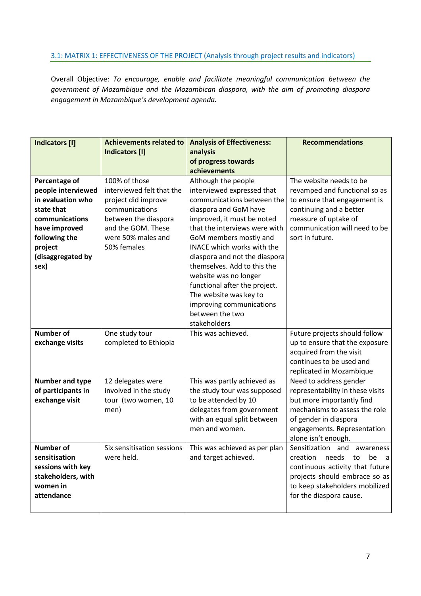### <span id="page-6-0"></span>3.1: MATRIX 1: EFFECTIVENESS OF THE PROJECT (Analysis through project results and indicators)

Overall Objective: *To encourage, enable and facilitate meaningful communication between the government of Mozambique and the Mozambican diaspora, with the aim of promoting diaspora engagement in Mozambique's development agenda.*

| <b>Indicators [I]</b> | <b>Achievements related to</b> | <b>Analysis of Effectiveness:</b> | <b>Recommendations</b>                          |
|-----------------------|--------------------------------|-----------------------------------|-------------------------------------------------|
|                       | <b>Indicators [I]</b>          | analysis                          |                                                 |
|                       |                                | of progress towards               |                                                 |
|                       |                                | achievements                      |                                                 |
| Percentage of         | 100% of those                  | Although the people               | The website needs to be                         |
| people interviewed    | interviewed felt that the      | interviewed expressed that        | revamped and functional so as                   |
| in evaluation who     | project did improve            | communications between the        | to ensure that engagement is                    |
| state that            | communications                 | diaspora and GoM have             | continuing and a better                         |
| communications        | between the diaspora           | improved, it must be noted        | measure of uptake of                            |
| have improved         | and the GOM. These             | that the interviews were with     | communication will need to be                   |
| following the         | were 50% males and             | GoM members mostly and            | sort in future.                                 |
| project               | 50% females                    | INACE which works with the        |                                                 |
| (disaggregated by     |                                | diaspora and not the diaspora     |                                                 |
| sex)                  |                                | themselves. Add to this the       |                                                 |
|                       |                                | website was no longer             |                                                 |
|                       |                                | functional after the project.     |                                                 |
|                       |                                | The website was key to            |                                                 |
|                       |                                | improving communications          |                                                 |
|                       |                                | between the two                   |                                                 |
|                       |                                | stakeholders                      |                                                 |
| <b>Number of</b>      | One study tour                 | This was achieved.                | Future projects should follow                   |
| exchange visits       | completed to Ethiopia          |                                   | up to ensure that the exposure                  |
|                       |                                |                                   | acquired from the visit                         |
|                       |                                |                                   | continues to be used and                        |
|                       |                                |                                   | replicated in Mozambique                        |
| Number and type       | 12 delegates were              | This was partly achieved as       | Need to address gender                          |
| of participants in    | involved in the study          | the study tour was supposed       | representability in these visits                |
| exchange visit        | tour (two women, 10            | to be attended by 10              | but more importantly find                       |
|                       | men)                           | delegates from government         | mechanisms to assess the role                   |
|                       |                                | with an equal split between       | of gender in diaspora                           |
|                       |                                | men and women.                    | engagements. Representation                     |
|                       |                                |                                   | alone isn't enough.                             |
| <b>Number of</b>      | Six sensitisation sessions     | This was achieved as per plan     | Sensitization and awareness                     |
| sensitisation         | were held.                     | and target achieved.              | creation<br>needs<br>to<br>be<br>$\overline{a}$ |
| sessions with key     |                                |                                   | continuous activity that future                 |
| stakeholders, with    |                                |                                   | projects should embrace so as                   |
| women in              |                                |                                   | to keep stakeholders mobilized                  |
| attendance            |                                |                                   | for the diaspora cause.                         |
|                       |                                |                                   |                                                 |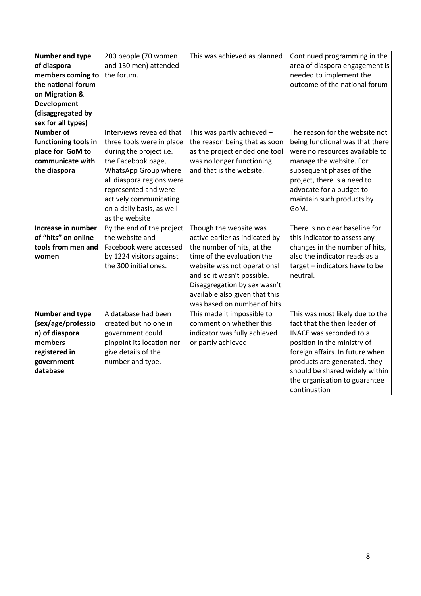| Number and type                       | 200 people (70 women                          | This was achieved as planned                                  | Continued programming in the                                    |
|---------------------------------------|-----------------------------------------------|---------------------------------------------------------------|-----------------------------------------------------------------|
| of diaspora                           | and 130 men) attended                         |                                                               | area of diaspora engagement is                                  |
| members coming to                     | the forum.                                    |                                                               | needed to implement the                                         |
| the national forum                    |                                               |                                                               | outcome of the national forum                                   |
| on Migration &                        |                                               |                                                               |                                                                 |
| <b>Development</b>                    |                                               |                                                               |                                                                 |
| (disaggregated by                     |                                               |                                                               |                                                                 |
| sex for all types)                    |                                               |                                                               |                                                                 |
| <b>Number of</b>                      | Interviews revealed that                      | This was partly achieved -                                    | The reason for the website not                                  |
| functioning tools in                  | three tools were in place                     | the reason being that as soon                                 | being functional was that there                                 |
| place for GoM to                      | during the project i.e.                       | as the project ended one tool                                 | were no resources available to                                  |
| communicate with                      | the Facebook page,                            | was no longer functioning                                     | manage the website. For                                         |
| the diaspora                          | WhatsApp Group where                          | and that is the website.                                      | subsequent phases of the                                        |
|                                       | all diaspora regions were                     |                                                               | project, there is a need to                                     |
|                                       | represented and were                          |                                                               | advocate for a budget to                                        |
|                                       | actively communicating                        |                                                               | maintain such products by                                       |
|                                       | on a daily basis, as well                     |                                                               | GoM.                                                            |
|                                       | as the website                                |                                                               |                                                                 |
| Increase in number                    | By the end of the project                     | Though the website was                                        | There is no clear baseline for                                  |
| of "hits" on online                   | the website and                               | active earlier as indicated by                                | this indicator to assess any                                    |
| tools from men and                    | Facebook were accessed                        | the number of hits, at the                                    | changes in the number of hits,                                  |
| women                                 | by 1224 visitors against                      | time of the evaluation the                                    | also the indicator reads as a                                   |
|                                       | the 300 initial ones.                         | website was not operational                                   | target - indicators have to be                                  |
|                                       |                                               | and so it wasn't possible.                                    | neutral.                                                        |
|                                       |                                               | Disaggregation by sex wasn't                                  |                                                                 |
|                                       |                                               | available also given that this<br>was based on number of hits |                                                                 |
|                                       | A database had been                           |                                                               |                                                                 |
| Number and type<br>(sex/age/professio | created but no one in                         | This made it impossible to<br>comment on whether this         | This was most likely due to the<br>fact that the then leader of |
| n) of diaspora                        |                                               | indicator was fully achieved                                  | INACE was seconded to a                                         |
| members                               | government could<br>pinpoint its location nor | or partly achieved                                            | position in the ministry of                                     |
| registered in                         | give details of the                           |                                                               | foreign affairs. In future when                                 |
| government                            | number and type.                              |                                                               | products are generated, they                                    |
| database                              |                                               |                                                               | should be shared widely within                                  |
|                                       |                                               |                                                               | the organisation to guarantee                                   |
|                                       |                                               |                                                               | continuation                                                    |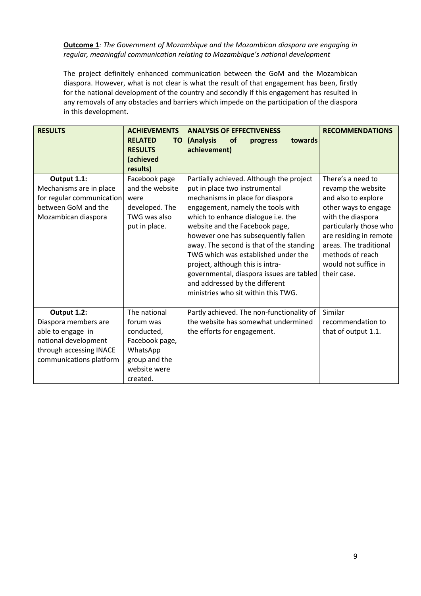**Outcome 1***: The Government of Mozambique and the Mozambican diaspora are engaging in regular, meaningful communication relating to Mozambique's national development*

The project definitely enhanced communication between the GoM and the Mozambican diaspora. However, what is not clear is what the result of that engagement has been, firstly for the national development of the country and secondly if this engagement has resulted in any removals of any obstacles and barriers which impede on the participation of the diaspora in this development.

| <b>RESULTS</b>                                                                                                                         | <b>ACHIEVEMENTS</b><br><b>RELATED</b><br><b>TO</b><br><b>RESULTS</b><br>(achieved<br>results)                      | <b>ANALYSIS OF EFFECTIVENESS</b><br>(Analysis<br>towards<br><b>of</b><br>progress<br>achievement)                                                                                                                                                                                                                                                                                                                                                                                                             | <b>RECOMMENDATIONS</b>                                                                                                                                                                                                                               |
|----------------------------------------------------------------------------------------------------------------------------------------|--------------------------------------------------------------------------------------------------------------------|---------------------------------------------------------------------------------------------------------------------------------------------------------------------------------------------------------------------------------------------------------------------------------------------------------------------------------------------------------------------------------------------------------------------------------------------------------------------------------------------------------------|------------------------------------------------------------------------------------------------------------------------------------------------------------------------------------------------------------------------------------------------------|
| Output 1.1:<br>Mechanisms are in place<br>for regular communication<br>between GoM and the<br>Mozambican diaspora                      | Facebook page<br>and the website<br>were<br>developed. The<br>TWG was also<br>put in place.                        | Partially achieved. Although the project<br>put in place two instrumental<br>mechanisms in place for diaspora<br>engagement, namely the tools with<br>which to enhance dialogue i.e. the<br>website and the Facebook page,<br>however one has subsequently fallen<br>away. The second is that of the standing<br>TWG which was established under the<br>project, although this is intra-<br>governmental, diaspora issues are tabled<br>and addressed by the different<br>ministries who sit within this TWG. | There's a need to<br>revamp the website<br>and also to explore<br>other ways to engage<br>with the diaspora<br>particularly those who<br>are residing in remote<br>areas. The traditional<br>methods of reach<br>would not suffice in<br>their case. |
| Output 1.2:<br>Diaspora members are<br>able to engage in<br>national development<br>through accessing INACE<br>communications platform | The national<br>forum was<br>conducted,<br>Facebook page,<br>WhatsApp<br>group and the<br>website were<br>created. | Partly achieved. The non-functionality of<br>the website has somewhat undermined<br>the efforts for engagement.                                                                                                                                                                                                                                                                                                                                                                                               | Similar<br>recommendation to<br>that of output 1.1.                                                                                                                                                                                                  |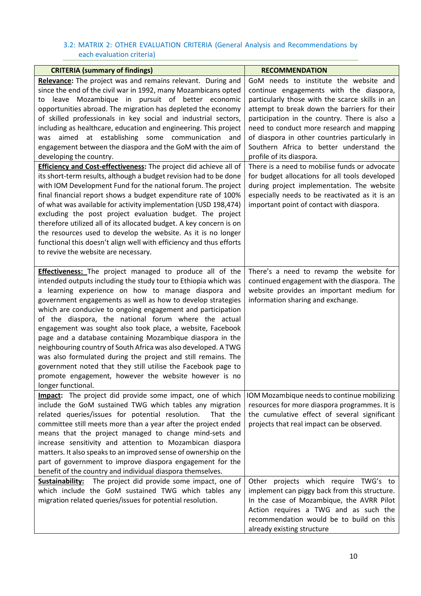### <span id="page-9-0"></span>3.2: MATRIX 2: OTHER EVALUATION CRITERIA (General Analysis and Recommendations by each evaluation criteria)

<span id="page-9-1"></span>

| <b>CRITERIA (summary of findings)</b>                               | <b>RECOMMENDATION</b>                                                              |
|---------------------------------------------------------------------|------------------------------------------------------------------------------------|
| Relevance: The project was and remains relevant. During and         | GoM needs to institute the website and                                             |
| since the end of the civil war in 1992, many Mozambicans opted      | continue engagements with the diaspora,                                            |
| leave Mozambique in pursuit of better economic<br>to                | particularly those with the scarce skills in an                                    |
| opportunities abroad. The migration has depleted the economy        | attempt to break down the barriers for their                                       |
| of skilled professionals in key social and industrial sectors,      | participation in the country. There is also a                                      |
| including as healthcare, education and engineering. This project    | need to conduct more research and mapping                                          |
| aimed at establishing some communication and<br>was                 | of diaspora in other countries particularly in                                     |
| engagement between the diaspora and the GoM with the aim of         | Southern Africa to better understand the                                           |
| developing the country.                                             | profile of its diaspora.                                                           |
| Efficiency and Cost-effectiveness: The project did achieve all of   | There is a need to mobilise funds or advocate                                      |
| its short-term results, although a budget revision had to be done   | for budget allocations for all tools developed                                     |
| with IOM Development Fund for the national forum. The project       | during project implementation. The website                                         |
| final financial report shows a budget expenditure rate of 100%      | especially needs to be reactivated as it is an                                     |
| of what was available for activity implementation (USD 198,474)     | important point of contact with diaspora.                                          |
| excluding the post project evaluation budget. The project           |                                                                                    |
| therefore utilized all of its allocated budget. A key concern is on |                                                                                    |
| the resources used to develop the website. As it is no longer       |                                                                                    |
| functional this doesn't align well with efficiency and thus efforts |                                                                                    |
| to revive the website are necessary.                                |                                                                                    |
|                                                                     |                                                                                    |
| <b>Effectiveness:</b> The project managed to produce all of the     | There's a need to revamp the website for                                           |
| intended outputs including the study tour to Ethiopia which was     | continued engagement with the diaspora. The                                        |
| a learning experience on how to manage diaspora and                 | website provides an important medium for                                           |
| government engagements as well as how to develop strategies         | information sharing and exchange.                                                  |
| which are conducive to ongoing engagement and participation         |                                                                                    |
| of the diaspora, the national forum where the actual                |                                                                                    |
| engagement was sought also took place, a website, Facebook          |                                                                                    |
| page and a database containing Mozambique diaspora in the           |                                                                                    |
| neighbouring country of South Africa was also developed. A TWG      |                                                                                    |
| was also formulated during the project and still remains. The       |                                                                                    |
| government noted that they still utilise the Facebook page to       |                                                                                    |
| promote engagement, however the website however is no               |                                                                                    |
| longer functional.                                                  |                                                                                    |
| <b>Impact:</b> The project did provide some impact, one of which    | IOM Mozambique needs to continue mobilizing                                        |
| include the GoM sustained TWG which tables any migration            | resources for more diaspora programmes. It is                                      |
| related queries/issues for potential resolution.<br>That the        | the cumulative effect of several significant                                       |
| committee still meets more than a year after the project ended      | projects that real impact can be observed.                                         |
| means that the project managed to change mind-sets and              |                                                                                    |
| increase sensitivity and attention to Mozambican diaspora           |                                                                                    |
| matters. It also speaks to an improved sense of ownership on the    |                                                                                    |
| part of government to improve diaspora engagement for the           |                                                                                    |
| benefit of the country and individual diaspora themselves.          |                                                                                    |
| <b>Sustainability:</b> The project did provide some impact, one of  | Other projects which require TWG's to                                              |
| which include the GoM sustained TWG which tables any                | implement can piggy back from this structure.                                      |
| migration related queries/issues for potential resolution.          | In the case of Mozambique, the AVRR Pilot<br>Action requires a TWG and as such the |
|                                                                     | recommendation would be to build on this                                           |
|                                                                     | already existing structure                                                         |
|                                                                     |                                                                                    |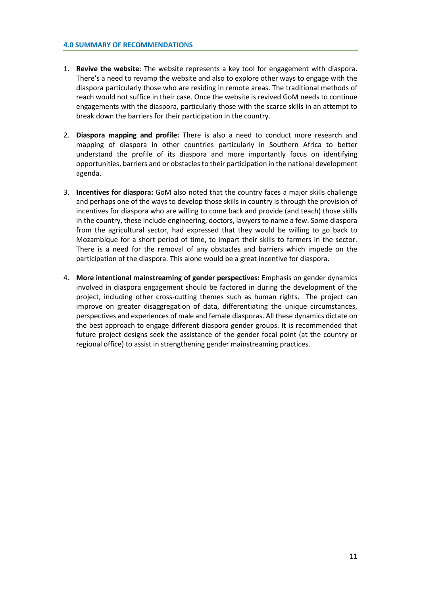- 1. **Revive the website**: The website represents a key tool for engagement with diaspora. There's a need to revamp the website and also to explore other ways to engage with the diaspora particularly those who are residing in remote areas. The traditional methods of reach would not suffice in their case. Once the website is revived GoM needs to continue engagements with the diaspora, particularly those with the scarce skills in an attempt to break down the barriers for their participation in the country.
- 2. **Diaspora mapping and profile:** There is also a need to conduct more research and mapping of diaspora in other countries particularly in Southern Africa to better understand the profile of its diaspora and more importantly focus on identifying opportunities, barriers and or obstacles to their participation in the national development agenda.
- 3. **Incentives for diaspora:** GoM also noted that the country faces a major skills challenge and perhaps one of the ways to develop those skills in country is through the provision of incentives for diaspora who are willing to come back and provide (and teach) those skills in the country, these include engineering, doctors, lawyers to name a few. Some diaspora from the agricultural sector, had expressed that they would be willing to go back to Mozambique for a short period of time, to impart their skills to farmers in the sector. There is a need for the removal of any obstacles and barriers which impede on the participation of the diaspora. This alone would be a great incentive for diaspora.
- 4. **More intentional mainstreaming of gender perspectives:** Emphasis on gender dynamics involved in diaspora engagement should be factored in during the development of the project, including other cross-cutting themes such as human rights. The project can improve on greater disaggregation of data, differentiating the unique circumstances, perspectives and experiences of male and female diasporas. All these dynamics dictate on the best approach to engage different diaspora gender groups. It is recommended that future project designs seek the assistance of the gender focal point (at the country or regional office) to assist in strengthening gender mainstreaming practices.